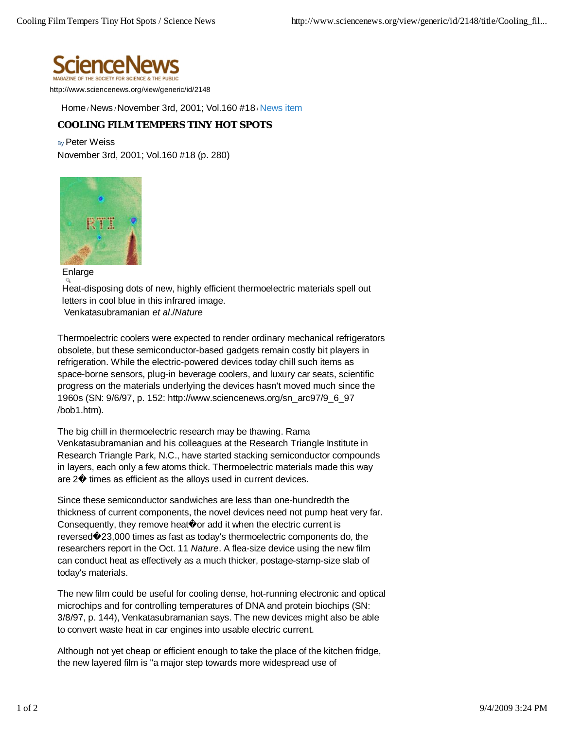

http://www.sciencenews.org/view/generic/id/2148

Home / News / November 3rd, 2001; Vol.160 #18 / News item

## **COOLING FILM TEMPERS TINY HOT SPOTS**

By Peter Weiss

November 3rd, 2001; Vol.160 #18 (p. 280)



Enlarge

Heat-disposing dots of new, highly efficient thermoelectric materials spell out letters in cool blue in this infrared image.

Venkatasubramanian *et al*./*Nature*

Thermoelectric coolers were expected to render ordinary mechanical refrigerators obsolete, but these semiconductor-based gadgets remain costly bit players in refrigeration. While the electric-powered devices today chill such items as space-borne sensors, plug-in beverage coolers, and luxury car seats, scientific progress on the materials underlying the devices hasn't moved much since the 1960s (SN: 9/6/97, p. 152: http://www.sciencenews.org/sn\_arc97/9\_6\_97 /bob1.htm).

The big chill in thermoelectric research may be thawing. Rama Venkatasubramanian and his colleagues at the Research Triangle Institute in Research Triangle Park, N.C., have started stacking semiconductor compounds in layers, each only a few atoms thick. Thermoelectric materials made this way are 2� times as efficient as the alloys used in current devices.

Since these semiconductor sandwiches are less than one-hundredth the thickness of current components, the novel devices need not pump heat very far. Consequently, they remove heat<sup>o</sup> or add it when the electric current is reversed�23,000 times as fast as today's thermoelectric components do, the researchers report in the Oct. 11 *Nature*. A flea-size device using the new film can conduct heat as effectively as a much thicker, postage-stamp-size slab of today's materials.

The new film could be useful for cooling dense, hot-running electronic and optical microchips and for controlling temperatures of DNA and protein biochips (SN: 3/8/97, p. 144), Venkatasubramanian says. The new devices might also be able to convert waste heat in car engines into usable electric current.

Although not yet cheap or efficient enough to take the place of the kitchen fridge, the new layered film is "a major step towards more widespread use of